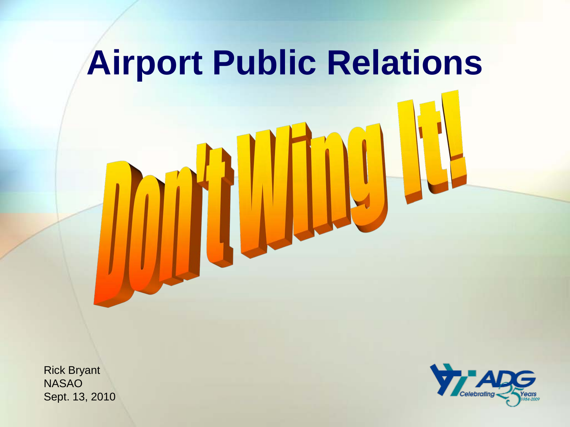

Rick Bryant NASAO Sept. 13, 2010

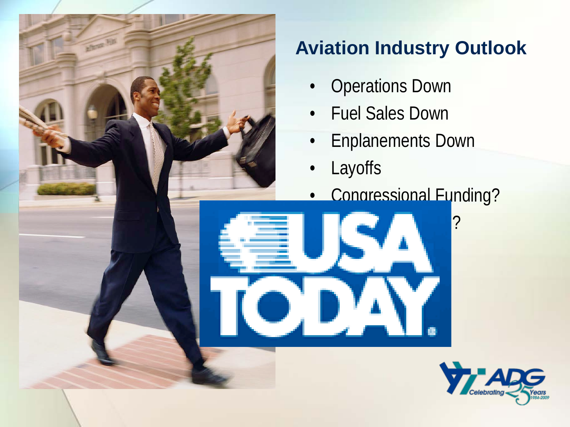

#### **Aviation Industry Outlook**

- Operations Down
- Fuel Sales Down
- Enplanements Down

• Public Perception?

- Layoffs
- Congressional Funding?

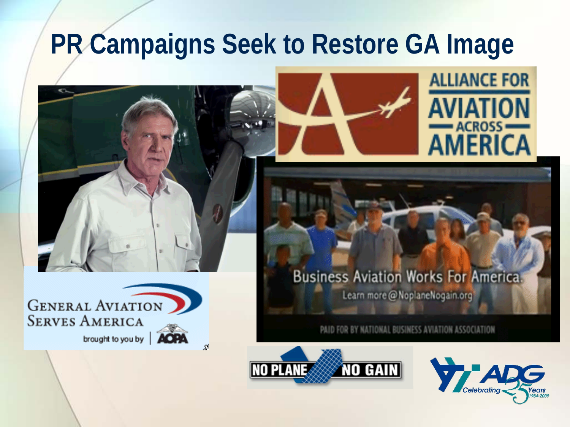#### **PR Campaigns Seek to Restore GA Image**







#### **Business Aviation Works For America.**

Learn more @ NoplaneNogain.org

PAID FOR BY NATIONAL BUSINESS AVIATION ASSOCIATION



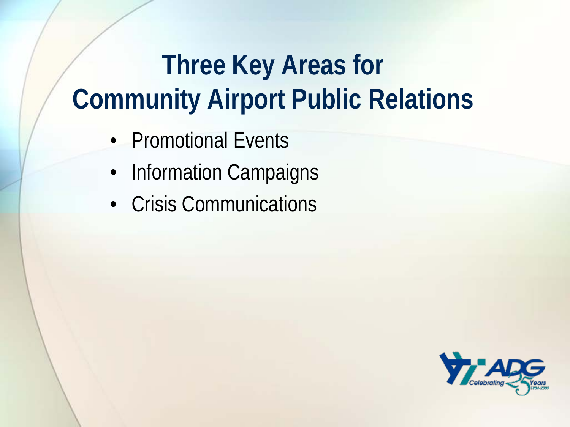# **Three Key Areas for Community Airport Public Relations**

- Promotional Events
- Information Campaigns
- Crisis Communications

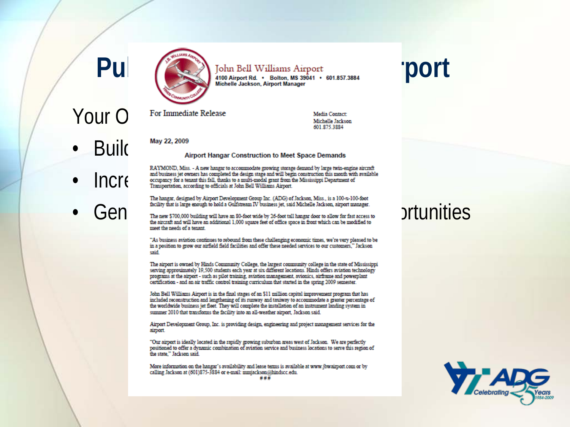

Pul John Bell Williams Airport<br>
Michelle Jackson, Airport Rd. . Bolton, MS 39041 . 601.857.3884<br>
Michelle Jackson, Airport Manager

Your O For Immediate Release

Media Contact: Michelle Jackson 601 875 3884

- 
- 
- 

**BUIIC** May 22, 2009<br>Airport Hangar Construction to Meet Space Demands

RAYMOND, Miss. - A new hangar to accommodate growing storage demand by large twin-engine aircraft<br>and business jet owners has completed the design stage and will begin construction this month with available<br> $\bigcap_{\text{Oramsoncration}} \$ 

The hangar, designed by Airport Development Group Inc. (ADG) of Jackson, Miss., is a 100-x-100-foot

**General State of the Constitution** of the new \$700,000 building will have an 80-foot wide by 26-foot tall hangar door to allow for fast access to **Driving the State of the aircraft** and will have an additional 1,000 squar meet the needs of a tenant

> "As business aviation continues to rebound from these challenging economic times, we're very pleased to be in a position to grow our airfield field facilities and offer these needed services to our customers." Jackson said

> The airport is owned by Hinds Community College, the largest community college in the state of Mississippi serving approximately 19,500 students each year at six different locations. Hinds offers aviation technology programs at the airport - such as pilot training, aviation management, avionics, airframe and powerplant certification - and an air traffic control training curriculum that started in the spring 2009 semester.

John Bell Williams Airport is in the final stages of an \$11 million capital improvement program that has included reconstruction and lengthening of its runway and taxiway to accommodate a greater percentage of the worldwide business jet fleet. They will complete the installation of an instrument landing system in summer 2010 that transforms the facility into an all-weather airport, Jackson said.

Airport Development Group, Inc. is providing design, engineering and project management services for the airport.

"Our airport is ideally located in the rapidly growing suburban areas west of Jackson. We are perfectly positioned to offer a dynamic combination of aviation service and business locations to serve this region of the state." Jackson said.

More information on the hangar's availability and lease terms is available at www.jbwairport.com or by calling Jackson at (601)875-3884 or e-mail: mmjackson@hindscc.edu. ###

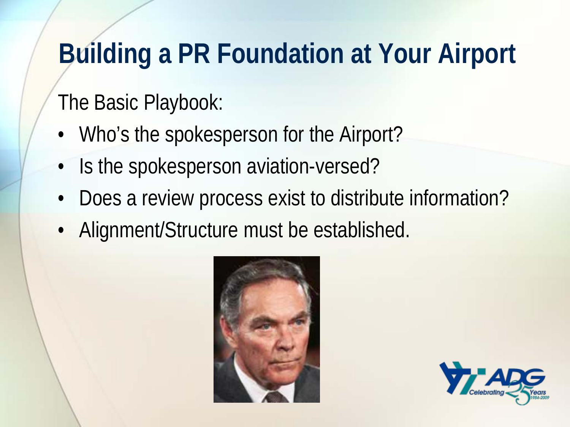# **Building a PR Foundation at Your Airport**

#### The Basic Playbook:

- Who's the spokesperson for the Airport?
- Is the spokesperson aviation-versed?
- Does a review process exist to distribute information?
- Alignment/Structure must be established.



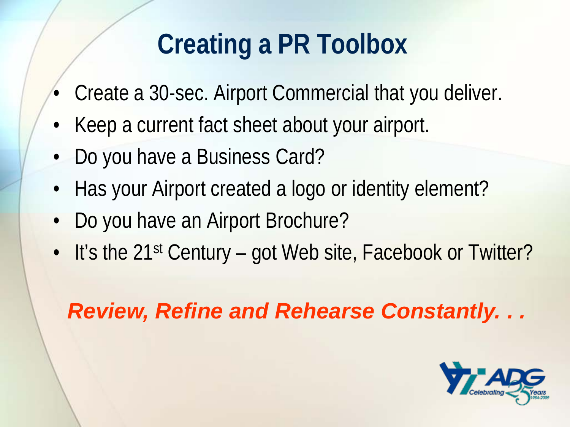# **Creating a PR Toolbox**

- Create a 30-sec. Airport Commercial that you deliver.
- Keep a current fact sheet about your airport.
- Do you have a Business Card?
- Has your Airport created a logo or identity element?
- Do you have an Airport Brochure?
- It's the 21<sup>st</sup> Century got Web site, Facebook or Twitter?

#### *Review, Refine and Rehearse Constantly. . .*

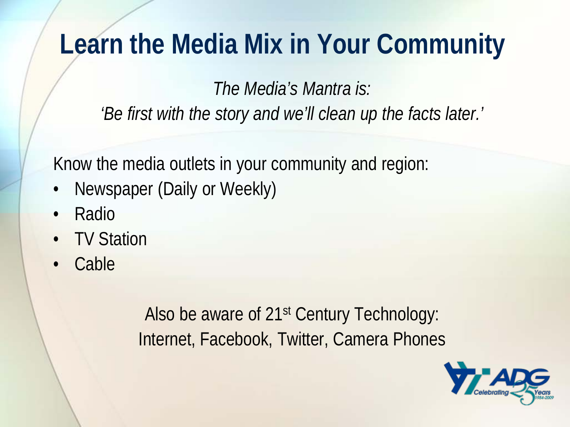# **Learn the Media Mix in Your Community**

*The Media's Mantra is: 'Be first with the story and we'll clean up the facts later.'*

Know the media outlets in your community and region:

- Newspaper (Daily or Weekly)
- Radio
- **TV Station**
- Cable

Also be aware of 21st Century Technology: Internet, Facebook, Twitter, Camera Phones

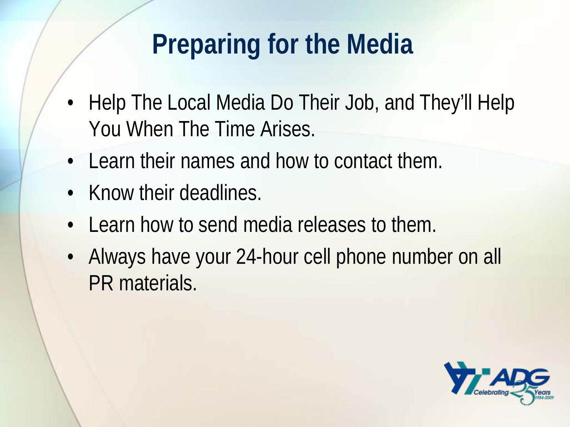# **Preparing for the Media**

- Help The Local Media Do Their Job, and They'll Help You When The Time Arises.
- Learn their names and how to contact them.
- Know their deadlines.
- Learn how to send media releases to them.
- Always have your 24-hour cell phone number on all PR materials.

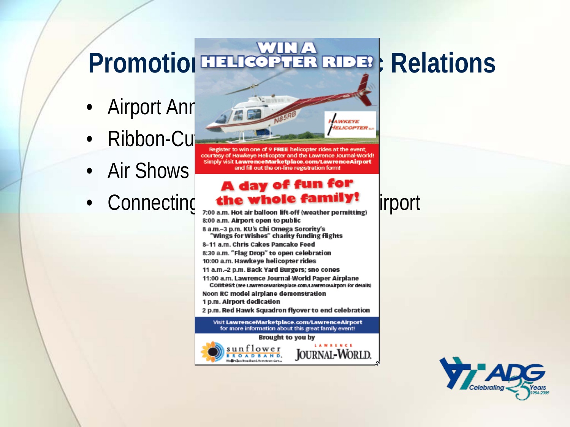# Promotion ETHICOPTER RIDER: Relations

- Airport Ann
- 
- Air Shows
- Connecting the whole family! irport



courtesy of Hawkeye Helicopter and the Lawrence Journal-World! Simply visit LawrenceMarketplace.com/LawrenceAirport and fill out the on-line registration form!

#### A day of fun for

8:00 a.m. Airport open to public 8 a.m.-3 p.m. KU's Chi Omega Sorority's "Wings for Wishes" charity funding flights 8-11 a.m. Chris Cakes Pancake Feed 8:30 a.m. "Flag Drop" to open celebration 10:00 a.m. Hawkeye helicopter rides 11 a.m.-2 p.m. Back Yard Burgers; sno cones 11:00 a.m. Lawrence Journal-World Paper Airplane CONtest (see LawrenceMarketplace.com/LawrenceAlrport for details) Noon RC model airplane demonstration 1 p.m. Airport dedication 2 p.m. Red Hawk Squadron flyover to end celebration Visit LawrenceMarketplace.com/LawrenceAirport for more information about this great family event! Brought to you by



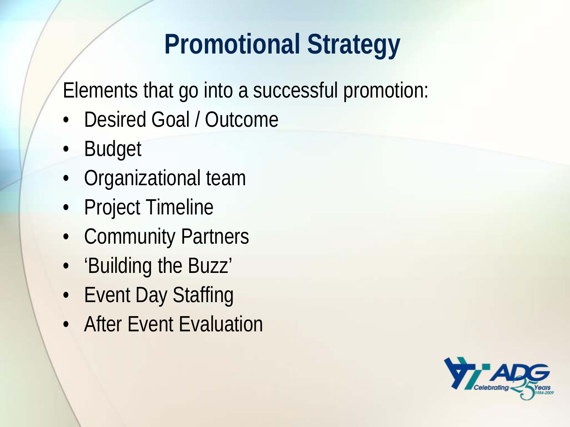# **Promotional Strategy**

Elements that go into a successful promotion:

- Desired Goal / Outcome
- Budget
- Organizational team
- Project Timeline
- Community Partners
- 'Building the Buzz'
- Event Day Staffing
- After Event Evaluation

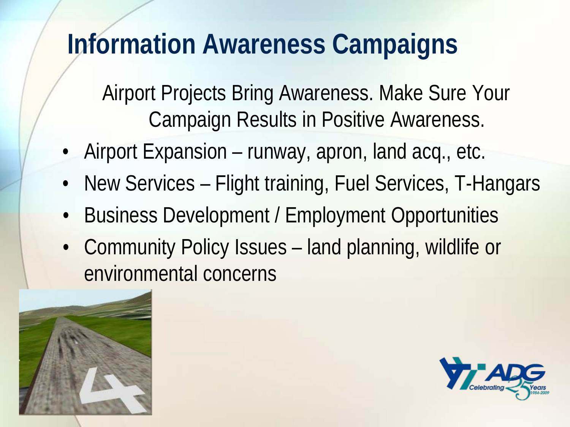## **Information Awareness Campaigns**

Airport Projects Bring Awareness. Make Sure Your Campaign Results in Positive Awareness.

- Airport Expansion runway, apron, land acq., etc.
- New Services Flight training, Fuel Services, T-Hangars
- Business Development / Employment Opportunities
- Community Policy Issues land planning, wildlife or environmental concerns



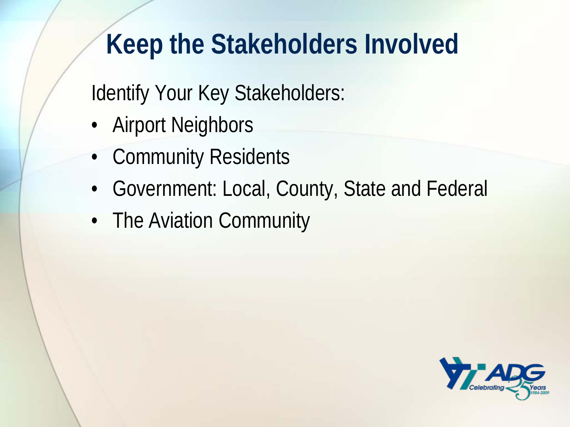## **Keep the Stakeholders Involved**

Identify Your Key Stakeholders:

- Airport Neighbors
- Community Residents
- Government: Local, County, State and Federal
- The Aviation Community

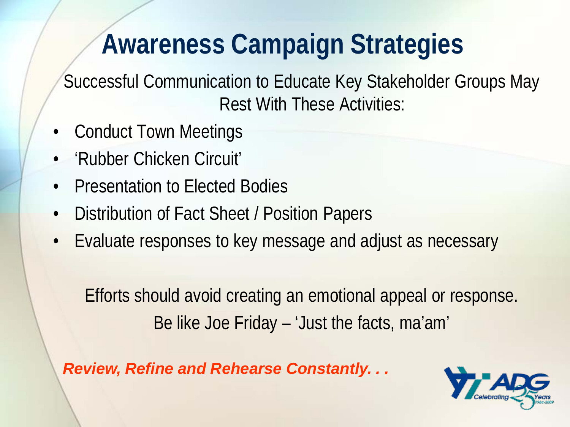# **Awareness Campaign Strategies**

Successful Communication to Educate Key Stakeholder Groups May Rest With These Activities:

- Conduct Town Meetings
- 'Rubber Chicken Circuit'
- Presentation to Elected Bodies
- Distribution of Fact Sheet / Position Papers
- Evaluate responses to key message and adjust as necessary

Efforts should avoid creating an emotional appeal or response. Be like Joe Friday – 'Just the facts, ma'am'

*Review, Refine and Rehearse Constantly. . .*

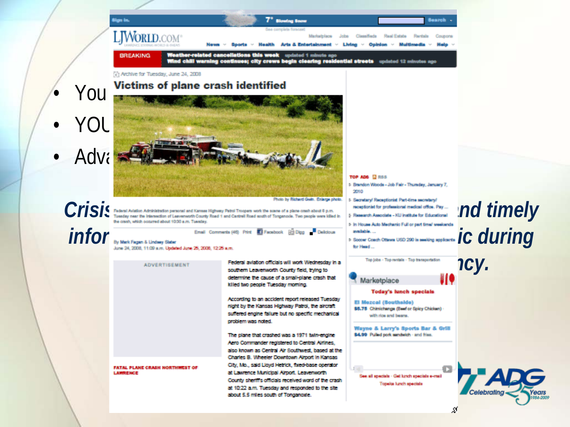

я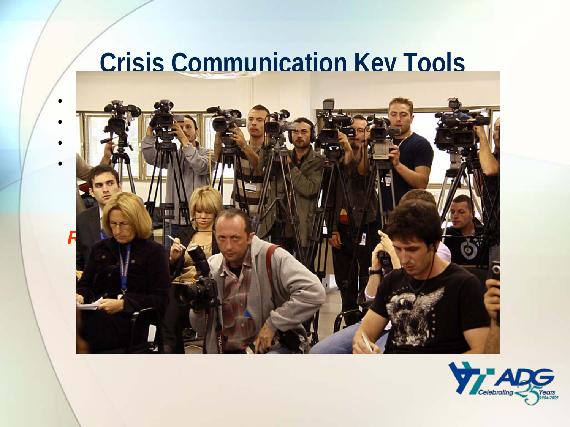#### **Crisis Communication Key Tools**



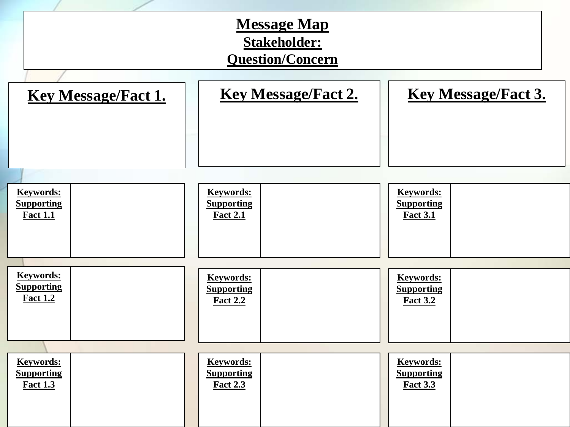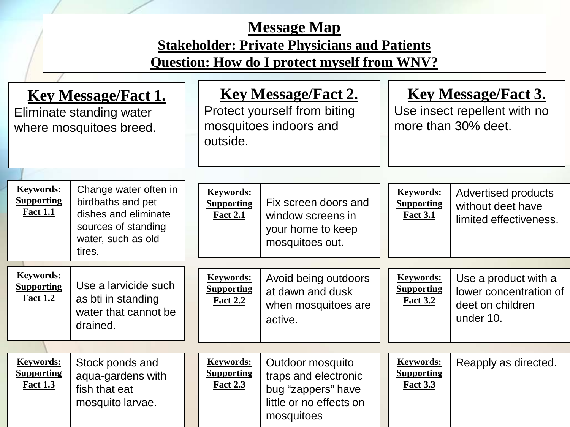#### **Message Map Stakeholder: Private Physicians and Patients Question: How do I protect myself from WNV?**

| <b>Key Message/Fact 1.</b><br>Eliminate standing water<br>where mosquitoes breed. |                                                                                                                           |  | <b>Key Message/Fact 2.</b><br>Protect yourself from biting<br>mosquitoes indoors and<br>outside. |                                                                                                         |  | <b>Key Message/Fact 3.</b><br>Use insect repellent with no<br>more than 30% deet. |                                                                                 |
|-----------------------------------------------------------------------------------|---------------------------------------------------------------------------------------------------------------------------|--|--------------------------------------------------------------------------------------------------|---------------------------------------------------------------------------------------------------------|--|-----------------------------------------------------------------------------------|---------------------------------------------------------------------------------|
| <b>Keywords:</b><br><b>Supporting</b><br><b>Fact 1.1</b>                          | Change water often in<br>birdbaths and pet<br>dishes and eliminate<br>sources of standing<br>water, such as old<br>tires. |  | <b>Keywords:</b><br><b>Supporting</b><br><b>Fact 2.1</b>                                         | Fix screen doors and<br>window screens in<br>your home to keep<br>mosquitoes out.                       |  | <b>Keywords:</b><br><b>Supporting</b><br><b>Fact 3.1</b>                          | <b>Advertised products</b><br>without deet have<br>limited effectiveness.       |
|                                                                                   |                                                                                                                           |  |                                                                                                  |                                                                                                         |  |                                                                                   |                                                                                 |
| <b>Keywords:</b><br><b>Supporting</b><br><b>Fact 1.2</b>                          | Use a larvicide such<br>as bti in standing<br>water that cannot be<br>drained.                                            |  | Keywords:<br><b>Supporting</b><br><b>Fact 2.2</b>                                                | Avoid being outdoors<br>at dawn and dusk<br>when mosquitoes are<br>active.                              |  | <b>Keywords:</b><br><b>Supporting</b><br><b>Fact 3.2</b>                          | Use a product with a<br>lower concentration of<br>deet on children<br>under 10. |
|                                                                                   |                                                                                                                           |  |                                                                                                  |                                                                                                         |  |                                                                                   |                                                                                 |
| <b>Keywords:</b><br><b>Supporting</b><br><b>Fact 1.3</b>                          | Stock ponds and<br>aqua-gardens with<br>fish that eat<br>mosquito larvae.                                                 |  | <b>Keywords:</b><br><b>Supporting</b><br><b>Fact 2.3</b>                                         | Outdoor mosquito<br>traps and electronic<br>bug "zappers" have<br>little or no effects on<br>mosquitoes |  | <b>Keywords:</b><br><b>Supporting</b><br><b>Fact 3.3</b>                          | Reapply as directed.                                                            |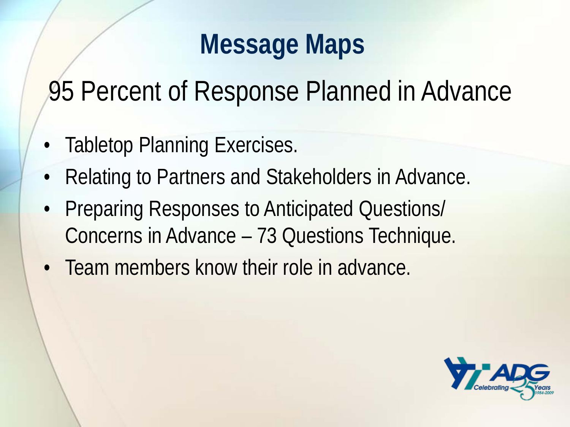#### **Message Maps**

95 Percent of Response Planned in Advance

- **Tabletop Planning Exercises.**
- Relating to Partners and Stakeholders in Advance.
- Preparing Responses to Anticipated Questions/ Concerns in Advance – 73 Questions Technique.
- Team members know their role in advance.

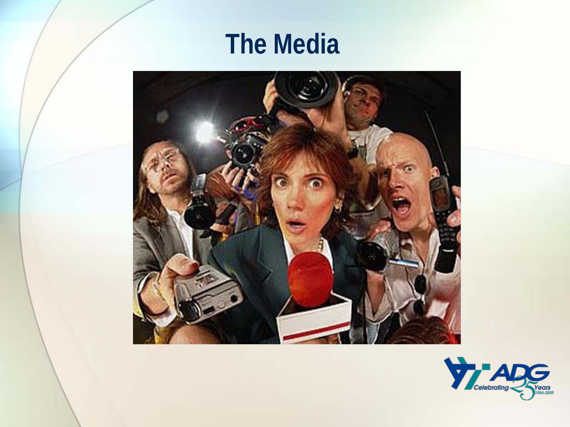### **The Media**



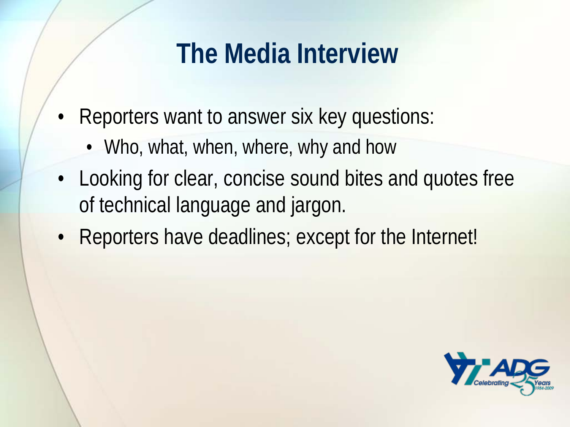- Reporters want to answer six key questions:
	- Who, what, when, where, why and how
- Looking for clear, concise sound bites and quotes free of technical language and jargon.
- Reporters have deadlines; except for the Internet!

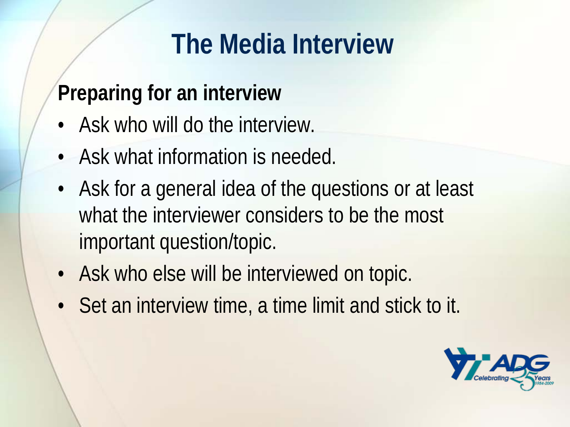#### **Preparing for an interview**

- Ask who will do the interview.
- Ask what information is needed.
- Ask for a general idea of the questions or at least what the interviewer considers to be the most important question/topic.
- Ask who else will be interviewed on topic.
- Set an interview time, a time limit and stick to it.

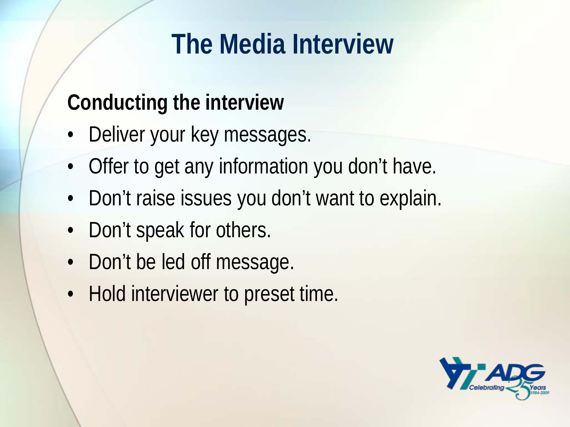#### **Conducting the interview**

- Deliver your key messages.
- Offer to get any information you don't have.
- Don't raise issues you don't want to explain.
- Don't speak for others.
- Don't be led off message.
- Hold interviewer to preset time.

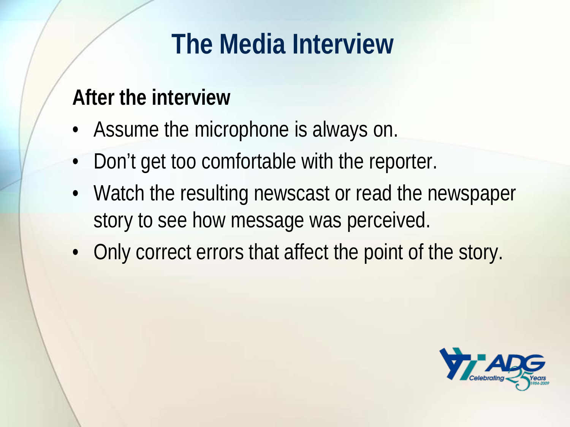#### **After the interview**

- Assume the microphone is always on.
- Don't get too comfortable with the reporter.
- Watch the resulting newscast or read the newspaper story to see how message was perceived.
- Only correct errors that affect the point of the story.

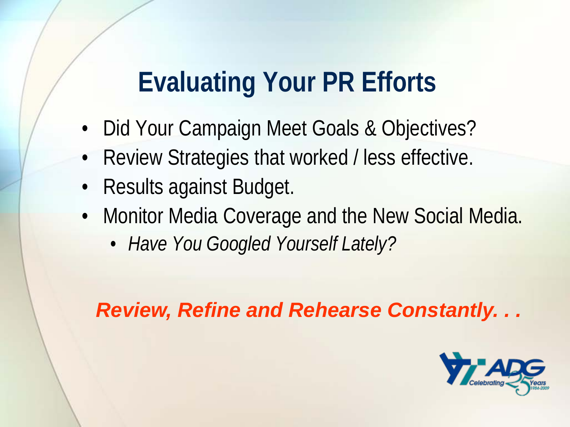### **Evaluating Your PR Efforts**

- Did Your Campaign Meet Goals & Objectives?
- Review Strategies that worked / less effective.
- Results against Budget.
- Monitor Media Coverage and the New Social Media.
	- *Have You Googled Yourself Lately?*

*Review, Refine and Rehearse Constantly. . .*

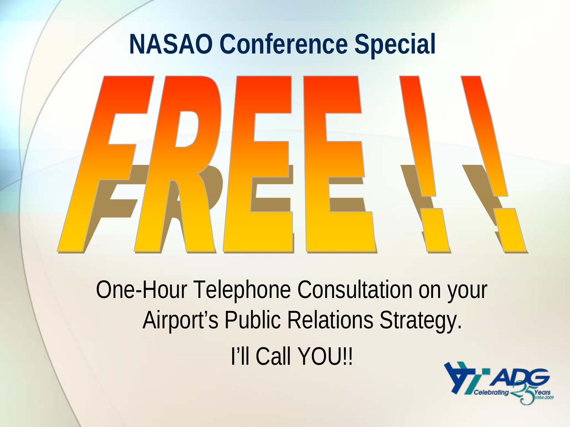### **NASAO Conference Special**



One-Hour Telephone Consultation on your Airport's Public Relations Strategy. I'll Call YOU!!

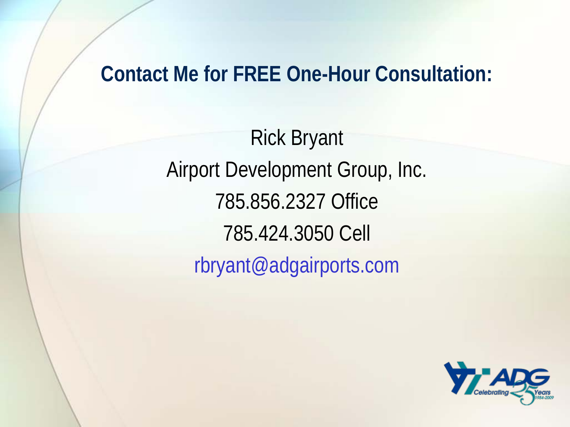#### **Contact Me for FREE One-Hour Consultation:**

Rick Bryant Airport Development Group, Inc. 785.856.2327 Office 785.424.3050 Cell rbryant@adgairports.com